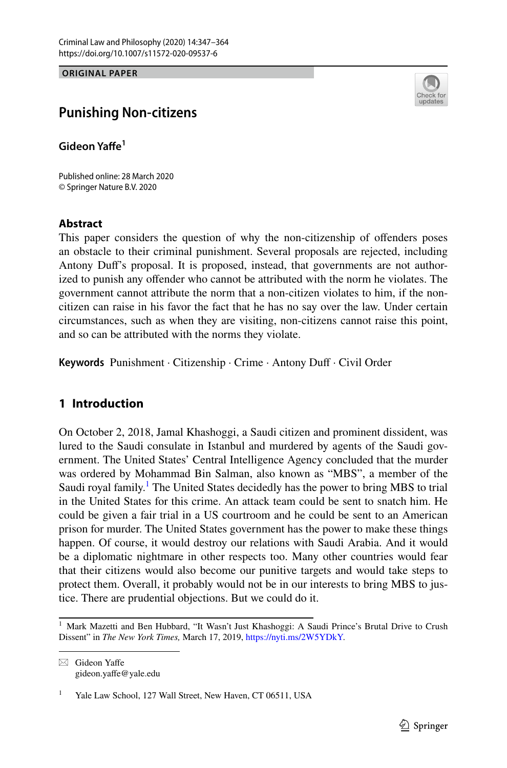**ORIGINAL PAPER**



# **Punishing Non‑citizens**

**Gideon Yafe<sup>1</sup>**

Published online: 28 March 2020 © Springer Nature B.V. 2020

#### **Abstract**

This paper considers the question of why the non-citizenship of ofenders poses an obstacle to their criminal punishment. Several proposals are rejected, including Antony Duf's proposal. It is proposed, instead, that governments are not authorized to punish any ofender who cannot be attributed with the norm he violates. The government cannot attribute the norm that a non-citizen violates to him, if the noncitizen can raise in his favor the fact that he has no say over the law. Under certain circumstances, such as when they are visiting, non-citizens cannot raise this point, and so can be attributed with the norms they violate.

**Keywords** Punishment · Citizenship · Crime · Antony Duf · Civil Order

# **1 Introduction**

On October 2, 2018, Jamal Khashoggi, a Saudi citizen and prominent dissident, was lured to the Saudi consulate in Istanbul and murdered by agents of the Saudi government. The United States' Central Intelligence Agency concluded that the murder was ordered by Mohammad Bin Salman, also known as "MBS", a member of the Saudi royal family.<sup>[1](#page-0-0)</sup> The United States decidedly has the power to bring MBS to trial in the United States for this crime. An attack team could be sent to snatch him. He could be given a fair trial in a US courtroom and he could be sent to an American prison for murder. The United States government has the power to make these things happen. Of course, it would destroy our relations with Saudi Arabia. And it would be a diplomatic nightmare in other respects too. Many other countries would fear that their citizens would also become our punitive targets and would take steps to protect them. Overall, it probably would not be in our interests to bring MBS to justice. There are prudential objections. But we could do it.

 $\boxtimes$  Gideon Yaffe gideon.yafe@yale.edu

<span id="page-0-0"></span><sup>&</sup>lt;sup>1</sup> Mark Mazetti and Ben Hubbard, "It Wasn't Just Khashoggi: A Saudi Prince's Brutal Drive to Crush Dissent" in *The New York Times,* March 17, 2019,<https://nyti.ms/2W5YDkY>.

Yale Law School, 127 Wall Street, New Haven, CT 06511, USA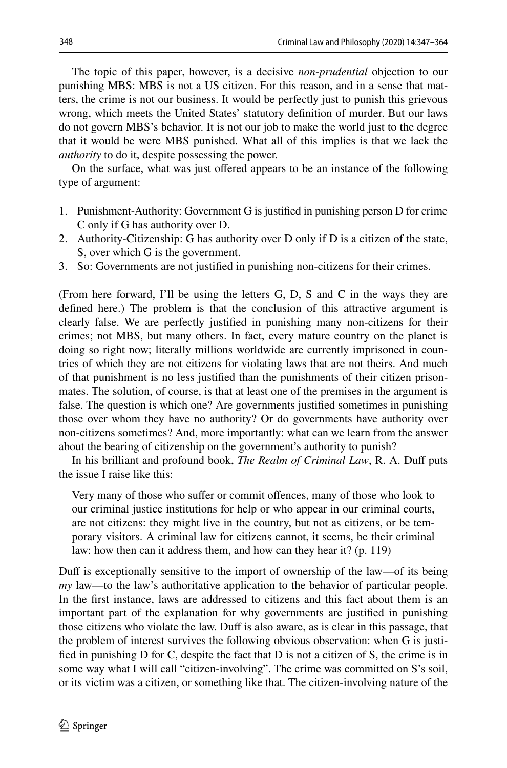The topic of this paper, however, is a decisive *non*-*prudential* objection to our punishing MBS: MBS is not a US citizen. For this reason, and in a sense that matters, the crime is not our business. It would be perfectly just to punish this grievous wrong, which meets the United States' statutory defnition of murder. But our laws do not govern MBS's behavior. It is not our job to make the world just to the degree that it would be were MBS punished. What all of this implies is that we lack the *authority* to do it, despite possessing the power.

On the surface, what was just ofered appears to be an instance of the following type of argument:

- 1. Punishment-Authority: Government G is justifed in punishing person D for crime C only if G has authority over D.
- 2. Authority-Citizenship: G has authority over D only if D is a citizen of the state, S, over which G is the government.
- 3. So: Governments are not justifed in punishing non-citizens for their crimes.

(From here forward, I'll be using the letters G, D, S and C in the ways they are defned here.) The problem is that the conclusion of this attractive argument is clearly false. We are perfectly justifed in punishing many non-citizens for their crimes; not MBS, but many others. In fact, every mature country on the planet is doing so right now; literally millions worldwide are currently imprisoned in countries of which they are not citizens for violating laws that are not theirs. And much of that punishment is no less justifed than the punishments of their citizen prisonmates. The solution, of course, is that at least one of the premises in the argument is false. The question is which one? Are governments justifed sometimes in punishing those over whom they have no authority? Or do governments have authority over non-citizens sometimes? And, more importantly: what can we learn from the answer about the bearing of citizenship on the government's authority to punish?

In his brilliant and profound book, *The Realm of Criminal Law*, R. A. Duff puts the issue I raise like this:

Very many of those who sufer or commit ofences, many of those who look to our criminal justice institutions for help or who appear in our criminal courts, are not citizens: they might live in the country, but not as citizens, or be temporary visitors. A criminal law for citizens cannot, it seems, be their criminal law: how then can it address them, and how can they hear it? (p. 119)

Duff is exceptionally sensitive to the import of ownership of the law—of its being *my* law—to the law's authoritative application to the behavior of particular people. In the frst instance, laws are addressed to citizens and this fact about them is an important part of the explanation for why governments are justifed in punishing those citizens who violate the law. Duf is also aware, as is clear in this passage, that the problem of interest survives the following obvious observation: when G is justifed in punishing D for C, despite the fact that D is not a citizen of S, the crime is in some way what I will call "citizen-involving". The crime was committed on S's soil, or its victim was a citizen, or something like that. The citizen-involving nature of the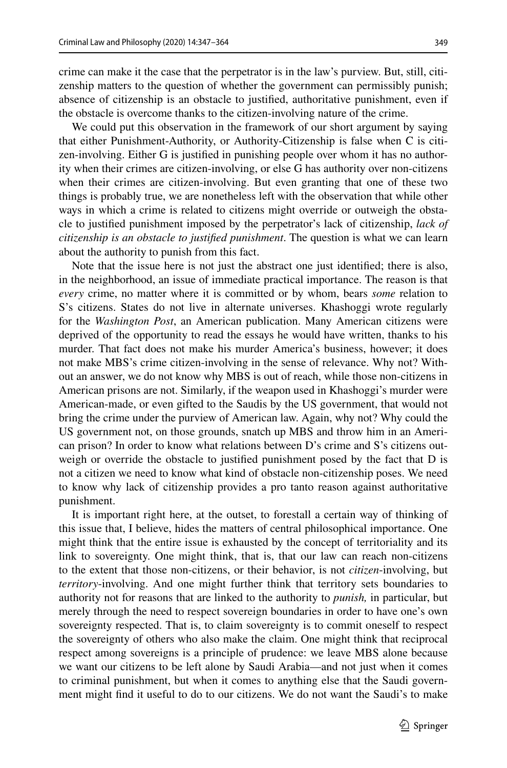crime can make it the case that the perpetrator is in the law's purview. But, still, citizenship matters to the question of whether the government can permissibly punish; absence of citizenship is an obstacle to justifed, authoritative punishment, even if the obstacle is overcome thanks to the citizen-involving nature of the crime.

We could put this observation in the framework of our short argument by saying that either Punishment-Authority, or Authority-Citizenship is false when C is citizen-involving. Either G is justifed in punishing people over whom it has no authority when their crimes are citizen-involving, or else G has authority over non-citizens when their crimes are citizen-involving. But even granting that one of these two things is probably true, we are nonetheless left with the observation that while other ways in which a crime is related to citizens might override or outweigh the obstacle to justifed punishment imposed by the perpetrator's lack of citizenship, *lack of citizenship is an obstacle to justifed punishment*. The question is what we can learn about the authority to punish from this fact.

Note that the issue here is not just the abstract one just identifed; there is also, in the neighborhood, an issue of immediate practical importance. The reason is that *every* crime, no matter where it is committed or by whom, bears *some* relation to S's citizens. States do not live in alternate universes. Khashoggi wrote regularly for the *Washington Post*, an American publication. Many American citizens were deprived of the opportunity to read the essays he would have written, thanks to his murder. That fact does not make his murder America's business, however; it does not make MBS's crime citizen-involving in the sense of relevance. Why not? Without an answer, we do not know why MBS is out of reach, while those non-citizens in American prisons are not. Similarly, if the weapon used in Khashoggi's murder were American-made, or even gifted to the Saudis by the US government, that would not bring the crime under the purview of American law. Again, why not? Why could the US government not, on those grounds, snatch up MBS and throw him in an American prison? In order to know what relations between D's crime and S's citizens outweigh or override the obstacle to justifed punishment posed by the fact that D is not a citizen we need to know what kind of obstacle non-citizenship poses. We need to know why lack of citizenship provides a pro tanto reason against authoritative punishment.

It is important right here, at the outset, to forestall a certain way of thinking of this issue that, I believe, hides the matters of central philosophical importance. One might think that the entire issue is exhausted by the concept of territoriality and its link to sovereignty. One might think, that is, that our law can reach non-citizens to the extent that those non-citizens, or their behavior, is not *citizen*-involving, but *territory*-involving. And one might further think that territory sets boundaries to authority not for reasons that are linked to the authority to *punish,* in particular, but merely through the need to respect sovereign boundaries in order to have one's own sovereignty respected. That is, to claim sovereignty is to commit oneself to respect the sovereignty of others who also make the claim. One might think that reciprocal respect among sovereigns is a principle of prudence: we leave MBS alone because we want our citizens to be left alone by Saudi Arabia—and not just when it comes to criminal punishment, but when it comes to anything else that the Saudi government might fnd it useful to do to our citizens. We do not want the Saudi's to make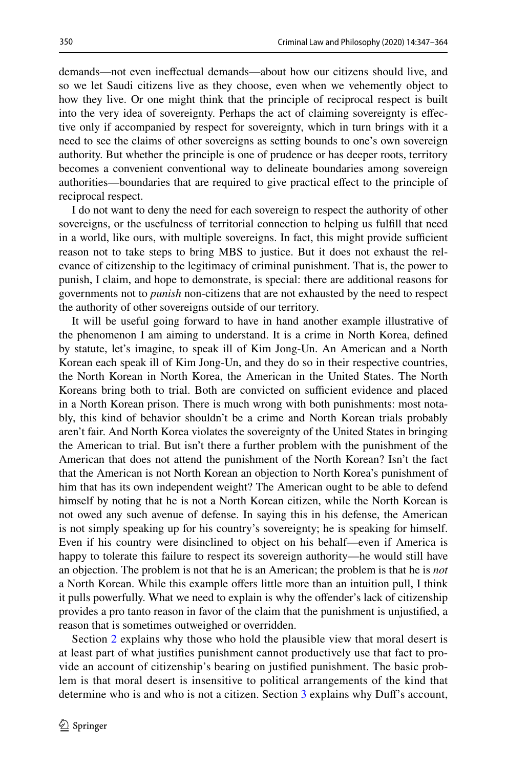demands—not even inefectual demands—about how our citizens should live, and so we let Saudi citizens live as they choose, even when we vehemently object to how they live. Or one might think that the principle of reciprocal respect is built into the very idea of sovereignty. Perhaps the act of claiming sovereignty is efective only if accompanied by respect for sovereignty, which in turn brings with it a need to see the claims of other sovereigns as setting bounds to one's own sovereign authority. But whether the principle is one of prudence or has deeper roots, territory becomes a convenient conventional way to delineate boundaries among sovereign authorities—boundaries that are required to give practical efect to the principle of reciprocal respect.

I do not want to deny the need for each sovereign to respect the authority of other sovereigns, or the usefulness of territorial connection to helping us fulfll that need in a world, like ours, with multiple sovereigns. In fact, this might provide sufficient reason not to take steps to bring MBS to justice. But it does not exhaust the relevance of citizenship to the legitimacy of criminal punishment. That is, the power to punish, I claim, and hope to demonstrate, is special: there are additional reasons for governments not to *punish* non-citizens that are not exhausted by the need to respect the authority of other sovereigns outside of our territory.

It will be useful going forward to have in hand another example illustrative of the phenomenon I am aiming to understand. It is a crime in North Korea, defned by statute, let's imagine, to speak ill of Kim Jong-Un. An American and a North Korean each speak ill of Kim Jong-Un, and they do so in their respective countries, the North Korean in North Korea, the American in the United States. The North Koreans bring both to trial. Both are convicted on sufficient evidence and placed in a North Korean prison. There is much wrong with both punishments: most notably, this kind of behavior shouldn't be a crime and North Korean trials probably aren't fair. And North Korea violates the sovereignty of the United States in bringing the American to trial. But isn't there a further problem with the punishment of the American that does not attend the punishment of the North Korean? Isn't the fact that the American is not North Korean an objection to North Korea's punishment of him that has its own independent weight? The American ought to be able to defend himself by noting that he is not a North Korean citizen, while the North Korean is not owed any such avenue of defense. In saying this in his defense, the American is not simply speaking up for his country's sovereignty; he is speaking for himself. Even if his country were disinclined to object on his behalf—even if America is happy to tolerate this failure to respect its sovereign authority—he would still have an objection. The problem is not that he is an American; the problem is that he is *not* a North Korean. While this example offers little more than an intuition pull, I think it pulls powerfully. What we need to explain is why the ofender's lack of citizenship provides a pro tanto reason in favor of the claim that the punishment is unjustifed, a reason that is sometimes outweighed or overridden.

Section [2](#page-4-0) explains why those who hold the plausible view that moral desert is at least part of what justifes punishment cannot productively use that fact to provide an account of citizenship's bearing on justifed punishment. The basic problem is that moral desert is insensitive to political arrangements of the kind that determine who is and who is not a citizen. Section [3](#page-7-0) explains why Duff's account,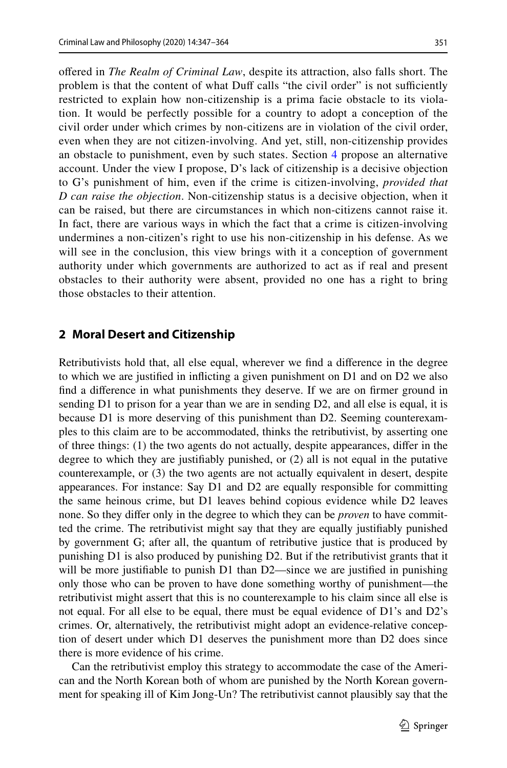ofered in *The Realm of Criminal Law*, despite its attraction, also falls short. The problem is that the content of what Duff calls "the civil order" is not sufficiently restricted to explain how non-citizenship is a prima facie obstacle to its violation. It would be perfectly possible for a country to adopt a conception of the civil order under which crimes by non-citizens are in violation of the civil order, even when they are not citizen-involving. And yet, still, non-citizenship provides an obstacle to punishment, even by such states. Section [4](#page-10-0) propose an alternative account. Under the view I propose, D's lack of citizenship is a decisive objection to G's punishment of him, even if the crime is citizen-involving, *provided that D can raise the objection*. Non-citizenship status is a decisive objection, when it can be raised, but there are circumstances in which non-citizens cannot raise it. In fact, there are various ways in which the fact that a crime is citizen-involving undermines a non-citizen's right to use his non-citizenship in his defense. As we will see in the conclusion, this view brings with it a conception of government authority under which governments are authorized to act as if real and present obstacles to their authority were absent, provided no one has a right to bring those obstacles to their attention.

### <span id="page-4-0"></span>**2 Moral Desert and Citizenship**

Retributivists hold that, all else equal, wherever we fnd a diference in the degree to which we are justifed in inficting a given punishment on D1 and on D2 we also fnd a diference in what punishments they deserve. If we are on frmer ground in sending D1 to prison for a year than we are in sending D2, and all else is equal, it is because D1 is more deserving of this punishment than D2. Seeming counterexamples to this claim are to be accommodated, thinks the retributivist, by asserting one of three things: (1) the two agents do not actually, despite appearances, difer in the degree to which they are justifably punished, or (2) all is not equal in the putative counterexample, or (3) the two agents are not actually equivalent in desert, despite appearances. For instance: Say D1 and D2 are equally responsible for committing the same heinous crime, but D1 leaves behind copious evidence while D2 leaves none. So they difer only in the degree to which they can be *proven* to have committed the crime. The retributivist might say that they are equally justifably punished by government G; after all, the quantum of retributive justice that is produced by punishing D1 is also produced by punishing D2. But if the retributivist grants that it will be more justifiable to punish D1 than D2—since we are justified in punishing only those who can be proven to have done something worthy of punishment—the retributivist might assert that this is no counterexample to his claim since all else is not equal. For all else to be equal, there must be equal evidence of D1's and D2's crimes. Or, alternatively, the retributivist might adopt an evidence-relative conception of desert under which D1 deserves the punishment more than D2 does since there is more evidence of his crime.

Can the retributivist employ this strategy to accommodate the case of the American and the North Korean both of whom are punished by the North Korean government for speaking ill of Kim Jong-Un? The retributivist cannot plausibly say that the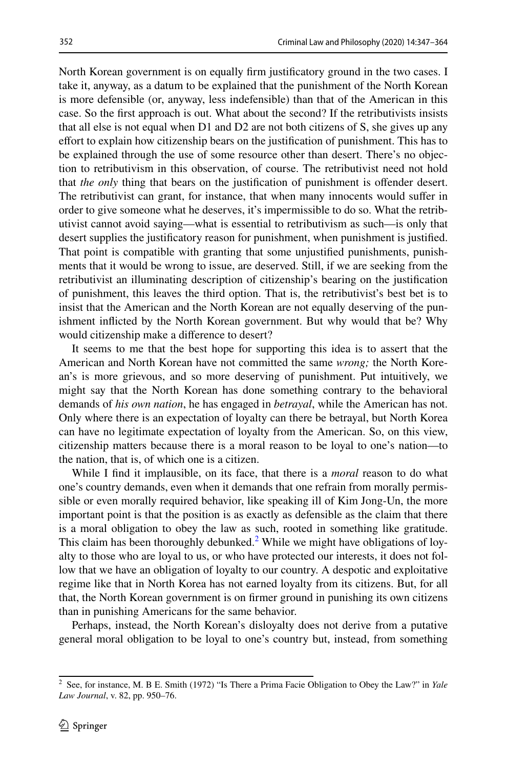North Korean government is on equally frm justifcatory ground in the two cases. I take it, anyway, as a datum to be explained that the punishment of the North Korean is more defensible (or, anyway, less indefensible) than that of the American in this case. So the frst approach is out. What about the second? If the retributivists insists that all else is not equal when D1 and D2 are not both citizens of S, she gives up any efort to explain how citizenship bears on the justifcation of punishment. This has to be explained through the use of some resource other than desert. There's no objection to retributivism in this observation, of course. The retributivist need not hold that *the only* thing that bears on the justifcation of punishment is ofender desert. The retributivist can grant, for instance, that when many innocents would sufer in order to give someone what he deserves, it's impermissible to do so. What the retributivist cannot avoid saying—what is essential to retributivism as such—is only that desert supplies the justifcatory reason for punishment, when punishment is justifed. That point is compatible with granting that some unjustifed punishments, punishments that it would be wrong to issue, are deserved. Still, if we are seeking from the retributivist an illuminating description of citizenship's bearing on the justifcation of punishment, this leaves the third option. That is, the retributivist's best bet is to insist that the American and the North Korean are not equally deserving of the punishment inficted by the North Korean government. But why would that be? Why would citizenship make a diference to desert?

It seems to me that the best hope for supporting this idea is to assert that the American and North Korean have not committed the same *wrong;* the North Korean's is more grievous, and so more deserving of punishment. Put intuitively, we might say that the North Korean has done something contrary to the behavioral demands of *his own nation*, he has engaged in *betrayal*, while the American has not. Only where there is an expectation of loyalty can there be betrayal, but North Korea can have no legitimate expectation of loyalty from the American. So, on this view, citizenship matters because there is a moral reason to be loyal to one's nation—to the nation, that is, of which one is a citizen.

While I fnd it implausible, on its face, that there is a *moral* reason to do what one's country demands, even when it demands that one refrain from morally permissible or even morally required behavior, like speaking ill of Kim Jong-Un, the more important point is that the position is as exactly as defensible as the claim that there is a moral obligation to obey the law as such, rooted in something like gratitude. This claim has been thoroughly debunked.<sup>[2](#page-5-0)</sup> While we might have obligations of loyalty to those who are loyal to us, or who have protected our interests, it does not follow that we have an obligation of loyalty to our country. A despotic and exploitative regime like that in North Korea has not earned loyalty from its citizens. But, for all that, the North Korean government is on frmer ground in punishing its own citizens than in punishing Americans for the same behavior.

Perhaps, instead, the North Korean's disloyalty does not derive from a putative general moral obligation to be loyal to one's country but, instead, from something

<span id="page-5-0"></span><sup>2</sup> See, for instance, M. B E. Smith (1972) "Is There a Prima Facie Obligation to Obey the Law?" in *Yale Law Journal*, v. 82, pp. 950–76.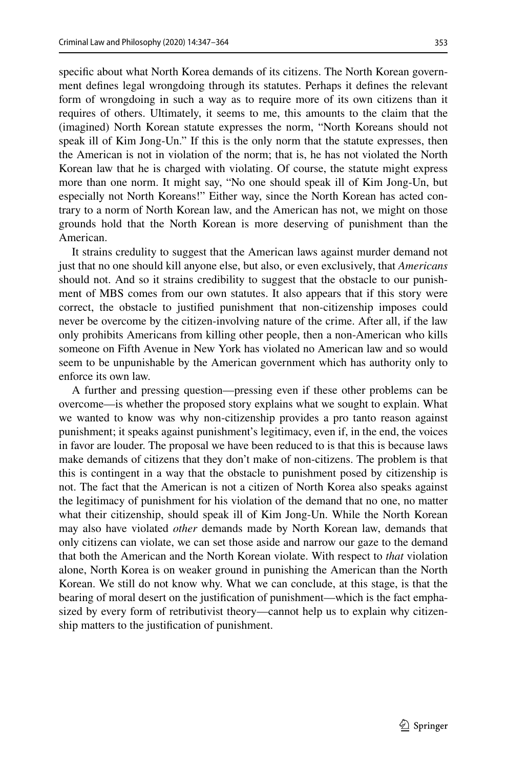specifc about what North Korea demands of its citizens. The North Korean government defnes legal wrongdoing through its statutes. Perhaps it defnes the relevant form of wrongdoing in such a way as to require more of its own citizens than it requires of others. Ultimately, it seems to me, this amounts to the claim that the (imagined) North Korean statute expresses the norm, "North Koreans should not speak ill of Kim Jong-Un." If this is the only norm that the statute expresses, then the American is not in violation of the norm; that is, he has not violated the North Korean law that he is charged with violating. Of course, the statute might express more than one norm. It might say, "No one should speak ill of Kim Jong-Un, but especially not North Koreans!" Either way, since the North Korean has acted contrary to a norm of North Korean law, and the American has not, we might on those grounds hold that the North Korean is more deserving of punishment than the American.

It strains credulity to suggest that the American laws against murder demand not just that no one should kill anyone else, but also, or even exclusively, that *Americans* should not. And so it strains credibility to suggest that the obstacle to our punishment of MBS comes from our own statutes. It also appears that if this story were correct, the obstacle to justifed punishment that non-citizenship imposes could never be overcome by the citizen-involving nature of the crime. After all, if the law only prohibits Americans from killing other people, then a non-American who kills someone on Fifth Avenue in New York has violated no American law and so would seem to be unpunishable by the American government which has authority only to enforce its own law.

A further and pressing question—pressing even if these other problems can be overcome—is whether the proposed story explains what we sought to explain. What we wanted to know was why non-citizenship provides a pro tanto reason against punishment; it speaks against punishment's legitimacy, even if, in the end, the voices in favor are louder. The proposal we have been reduced to is that this is because laws make demands of citizens that they don't make of non-citizens. The problem is that this is contingent in a way that the obstacle to punishment posed by citizenship is not. The fact that the American is not a citizen of North Korea also speaks against the legitimacy of punishment for his violation of the demand that no one, no matter what their citizenship, should speak ill of Kim Jong-Un. While the North Korean may also have violated *other* demands made by North Korean law, demands that only citizens can violate, we can set those aside and narrow our gaze to the demand that both the American and the North Korean violate. With respect to *that* violation alone, North Korea is on weaker ground in punishing the American than the North Korean. We still do not know why. What we can conclude, at this stage, is that the bearing of moral desert on the justifcation of punishment—which is the fact emphasized by every form of retributivist theory—cannot help us to explain why citizenship matters to the justifcation of punishment.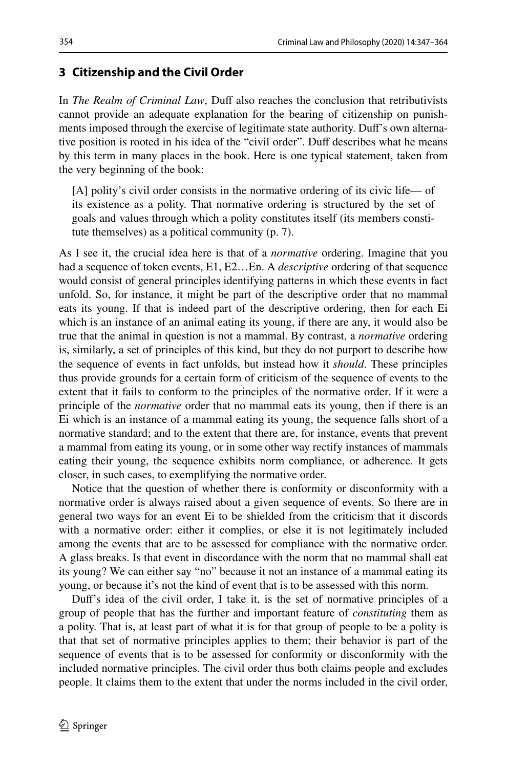# <span id="page-7-0"></span>**3 Citizenship and the Civil Order**

In *The Realm of Criminal Law*, Duf also reaches the conclusion that retributivists cannot provide an adequate explanation for the bearing of citizenship on punishments imposed through the exercise of legitimate state authority. Duf's own alternative position is rooted in his idea of the "civil order". Duff describes what he means by this term in many places in the book. Here is one typical statement, taken from the very beginning of the book:

[A] polity's civil order consists in the normative ordering of its civic life— of its existence as a polity. That normative ordering is structured by the set of goals and values through which a polity constitutes itself (its members constitute themselves) as a political community (p. 7).

As I see it, the crucial idea here is that of a *normative* ordering. Imagine that you had a sequence of token events, E1, E2…En. A *descriptive* ordering of that sequence would consist of general principles identifying patterns in which these events in fact unfold. So, for instance, it might be part of the descriptive order that no mammal eats its young. If that is indeed part of the descriptive ordering, then for each Ei which is an instance of an animal eating its young, if there are any, it would also be true that the animal in question is not a mammal. By contrast, a *normative* ordering is, similarly, a set of principles of this kind, but they do not purport to describe how the sequence of events in fact unfolds, but instead how it *should*. These principles thus provide grounds for a certain form of criticism of the sequence of events to the extent that it fails to conform to the principles of the normative order. If it were a principle of the *normative* order that no mammal eats its young, then if there is an Ei which is an instance of a mammal eating its young, the sequence falls short of a normative standard; and to the extent that there are, for instance, events that prevent a mammal from eating its young, or in some other way rectify instances of mammals eating their young, the sequence exhibits norm compliance, or adherence. It gets closer, in such cases, to exemplifying the normative order.

Notice that the question of whether there is conformity or disconformity with a normative order is always raised about a given sequence of events. So there are in general two ways for an event Ei to be shielded from the criticism that it discords with a normative order: either it complies, or else it is not legitimately included among the events that are to be assessed for compliance with the normative order. A glass breaks. Is that event in discordance with the norm that no mammal shall eat its young? We can either say "no" because it not an instance of a mammal eating its young, or because it's not the kind of event that is to be assessed with this norm.

Duf's idea of the civil order, I take it, is the set of normative principles of a group of people that has the further and important feature of *constituting* them as a polity. That is, at least part of what it is for that group of people to be a polity is that that set of normative principles applies to them; their behavior is part of the sequence of events that is to be assessed for conformity or disconformity with the included normative principles. The civil order thus both claims people and excludes people. It claims them to the extent that under the norms included in the civil order,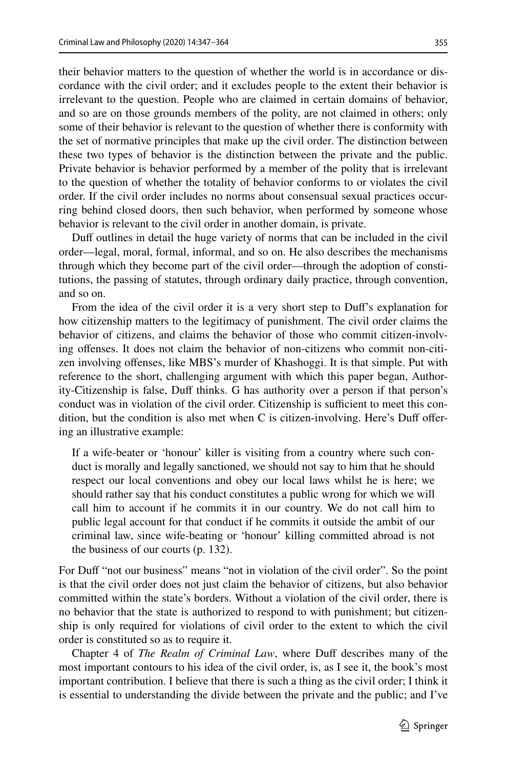their behavior matters to the question of whether the world is in accordance or discordance with the civil order; and it excludes people to the extent their behavior is irrelevant to the question. People who are claimed in certain domains of behavior, and so are on those grounds members of the polity, are not claimed in others; only some of their behavior is relevant to the question of whether there is conformity with the set of normative principles that make up the civil order. The distinction between these two types of behavior is the distinction between the private and the public. Private behavior is behavior performed by a member of the polity that is irrelevant to the question of whether the totality of behavior conforms to or violates the civil order. If the civil order includes no norms about consensual sexual practices occurring behind closed doors, then such behavior, when performed by someone whose behavior is relevant to the civil order in another domain, is private.

Duf outlines in detail the huge variety of norms that can be included in the civil order—legal, moral, formal, informal, and so on. He also describes the mechanisms through which they become part of the civil order—through the adoption of constitutions, the passing of statutes, through ordinary daily practice, through convention, and so on.

From the idea of the civil order it is a very short step to Duf's explanation for how citizenship matters to the legitimacy of punishment. The civil order claims the behavior of citizens, and claims the behavior of those who commit citizen-involving ofenses. It does not claim the behavior of non-citizens who commit non-citizen involving ofenses, like MBS's murder of Khashoggi. It is that simple. Put with reference to the short, challenging argument with which this paper began, Authority-Citizenship is false, Duff thinks. G has authority over a person if that person's conduct was in violation of the civil order. Citizenship is sufficient to meet this condition, but the condition is also met when C is citizen-involving. Here's Duf ofering an illustrative example:

If a wife-beater or 'honour' killer is visiting from a country where such conduct is morally and legally sanctioned, we should not say to him that he should respect our local conventions and obey our local laws whilst he is here; we should rather say that his conduct constitutes a public wrong for which we will call him to account if he commits it in our country. We do not call him to public legal account for that conduct if he commits it outside the ambit of our criminal law, since wife-beating or 'honour' killing committed abroad is not the business of our courts (p. 132).

For Duf "not our business" means "not in violation of the civil order". So the point is that the civil order does not just claim the behavior of citizens, but also behavior committed within the state's borders. Without a violation of the civil order, there is no behavior that the state is authorized to respond to with punishment; but citizenship is only required for violations of civil order to the extent to which the civil order is constituted so as to require it.

Chapter 4 of *The Realm of Criminal Law*, where Duff describes many of the most important contours to his idea of the civil order, is, as I see it, the book's most important contribution. I believe that there is such a thing as the civil order; I think it is essential to understanding the divide between the private and the public; and I've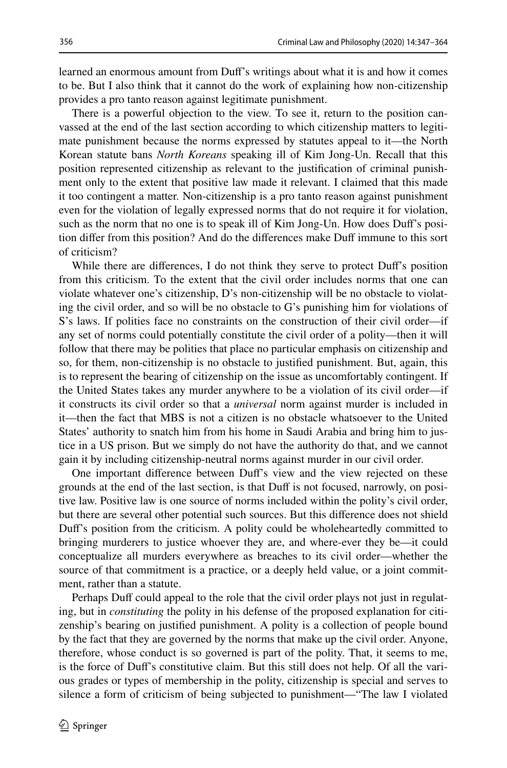learned an enormous amount from Duf's writings about what it is and how it comes to be. But I also think that it cannot do the work of explaining how non-citizenship provides a pro tanto reason against legitimate punishment.

There is a powerful objection to the view. To see it, return to the position canvassed at the end of the last section according to which citizenship matters to legitimate punishment because the norms expressed by statutes appeal to it—the North Korean statute bans *North Koreans* speaking ill of Kim Jong-Un. Recall that this position represented citizenship as relevant to the justifcation of criminal punishment only to the extent that positive law made it relevant. I claimed that this made it too contingent a matter. Non-citizenship is a pro tanto reason against punishment even for the violation of legally expressed norms that do not require it for violation, such as the norm that no one is to speak ill of Kim Jong-Un. How does Duff's position difer from this position? And do the diferences make Duf immune to this sort of criticism?

While there are diferences, I do not think they serve to protect Duf's position from this criticism. To the extent that the civil order includes norms that one can violate whatever one's citizenship, D's non-citizenship will be no obstacle to violating the civil order, and so will be no obstacle to G's punishing him for violations of S's laws. If polities face no constraints on the construction of their civil order—if any set of norms could potentially constitute the civil order of a polity—then it will follow that there may be polities that place no particular emphasis on citizenship and so, for them, non-citizenship is no obstacle to justifed punishment. But, again, this is to represent the bearing of citizenship on the issue as uncomfortably contingent. If the United States takes any murder anywhere to be a violation of its civil order—if it constructs its civil order so that a *universal* norm against murder is included in it—then the fact that MBS is not a citizen is no obstacle whatsoever to the United States' authority to snatch him from his home in Saudi Arabia and bring him to justice in a US prison. But we simply do not have the authority do that, and we cannot gain it by including citizenship-neutral norms against murder in our civil order.

One important diference between Duf's view and the view rejected on these grounds at the end of the last section, is that Duf is not focused, narrowly, on positive law. Positive law is one source of norms included within the polity's civil order, but there are several other potential such sources. But this diference does not shield Duf's position from the criticism. A polity could be wholeheartedly committed to bringing murderers to justice whoever they are, and where-ever they be—it could conceptualize all murders everywhere as breaches to its civil order—whether the source of that commitment is a practice, or a deeply held value, or a joint commitment, rather than a statute.

Perhaps Duff could appeal to the role that the civil order plays not just in regulating, but in *constituting* the polity in his defense of the proposed explanation for citizenship's bearing on justifed punishment. A polity is a collection of people bound by the fact that they are governed by the norms that make up the civil order. Anyone, therefore, whose conduct is so governed is part of the polity. That, it seems to me, is the force of Duf's constitutive claim. But this still does not help. Of all the various grades or types of membership in the polity, citizenship is special and serves to silence a form of criticism of being subjected to punishment—"The law I violated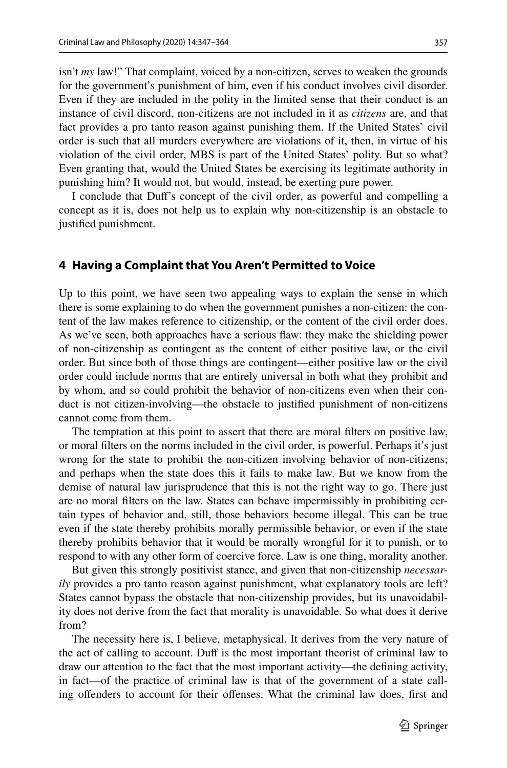isn't *my* law!" That complaint, voiced by a non-citizen, serves to weaken the grounds for the government's punishment of him, even if his conduct involves civil disorder. Even if they are included in the polity in the limited sense that their conduct is an instance of civil discord, non-citizens are not included in it as *citizens* are, and that fact provides a pro tanto reason against punishing them. If the United States' civil order is such that all murders everywhere are violations of it, then, in virtue of his violation of the civil order, MBS is part of the United States' polity. But so what? Even granting that, would the United States be exercising its legitimate authority in punishing him? It would not, but would, instead, be exerting pure power.

I conclude that Duf's concept of the civil order, as powerful and compelling a concept as it is, does not help us to explain why non-citizenship is an obstacle to justifed punishment.

#### <span id="page-10-0"></span>**4 Having a Complaint that You Aren't Permitted to Voice**

Up to this point, we have seen two appealing ways to explain the sense in which there is some explaining to do when the government punishes a non-citizen: the content of the law makes reference to citizenship, or the content of the civil order does. As we've seen, both approaches have a serious faw: they make the shielding power of non-citizenship as contingent as the content of either positive law, or the civil order. But since both of those things are contingent—either positive law or the civil order could include norms that are entirely universal in both what they prohibit and by whom, and so could prohibit the behavior of non-citizens even when their conduct is not citizen-involving—the obstacle to justifed punishment of non-citizens cannot come from them.

The temptation at this point to assert that there are moral flters on positive law, or moral flters on the norms included in the civil order, is powerful. Perhaps it's just wrong for the state to prohibit the non-citizen involving behavior of non-citizens; and perhaps when the state does this it fails to make law. But we know from the demise of natural law jurisprudence that this is not the right way to go. There just are no moral flters on the law. States can behave impermissibly in prohibiting certain types of behavior and, still, those behaviors become illegal. This can be true even if the state thereby prohibits morally permissible behavior, or even if the state thereby prohibits behavior that it would be morally wrongful for it to punish, or to respond to with any other form of coercive force. Law is one thing, morality another.

But given this strongly positivist stance, and given that non-citizenship *necessarily* provides a pro tanto reason against punishment, what explanatory tools are left? States cannot bypass the obstacle that non-citizenship provides, but its unavoidability does not derive from the fact that morality is unavoidable. So what does it derive from?

The necessity here is, I believe, metaphysical. It derives from the very nature of the act of calling to account. Duf is the most important theorist of criminal law to draw our attention to the fact that the most important activity—the defning activity, in fact—of the practice of criminal law is that of the government of a state calling offenders to account for their offenses. What the criminal law does, first and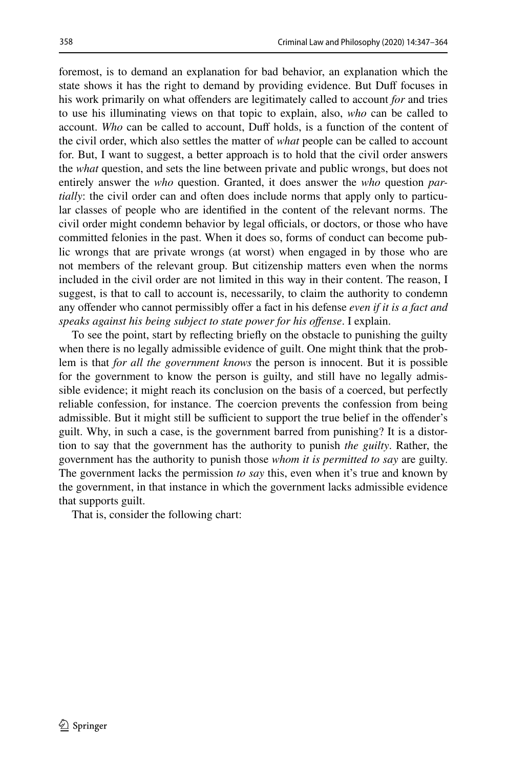foremost, is to demand an explanation for bad behavior, an explanation which the state shows it has the right to demand by providing evidence. But Duff focuses in his work primarily on what ofenders are legitimately called to account *for* and tries to use his illuminating views on that topic to explain, also, *who* can be called to account. *Who* can be called to account, Duf holds, is a function of the content of the civil order, which also settles the matter of *what* people can be called to account for. But, I want to suggest, a better approach is to hold that the civil order answers the *what* question, and sets the line between private and public wrongs, but does not entirely answer the *who* question. Granted, it does answer the *who* question *partially*: the civil order can and often does include norms that apply only to particular classes of people who are identifed in the content of the relevant norms. The civil order might condemn behavior by legal officials, or doctors, or those who have committed felonies in the past. When it does so, forms of conduct can become public wrongs that are private wrongs (at worst) when engaged in by those who are not members of the relevant group. But citizenship matters even when the norms included in the civil order are not limited in this way in their content. The reason, I suggest, is that to call to account is, necessarily, to claim the authority to condemn any offender who cannot permissibly offer a fact in his defense *even if it is a fact and speaks against his being subject to state power for his ofense*. I explain.

To see the point, start by refecting briefy on the obstacle to punishing the guilty when there is no legally admissible evidence of guilt. One might think that the problem is that *for all the government knows* the person is innocent. But it is possible for the government to know the person is guilty, and still have no legally admissible evidence; it might reach its conclusion on the basis of a coerced, but perfectly reliable confession, for instance. The coercion prevents the confession from being admissible. But it might still be sufficient to support the true belief in the offender's guilt. Why, in such a case, is the government barred from punishing? It is a distortion to say that the government has the authority to punish *the guilty*. Rather, the government has the authority to punish those *whom it is permitted to say* are guilty. The government lacks the permission *to say* this, even when it's true and known by the government, in that instance in which the government lacks admissible evidence that supports guilt.

That is, consider the following chart: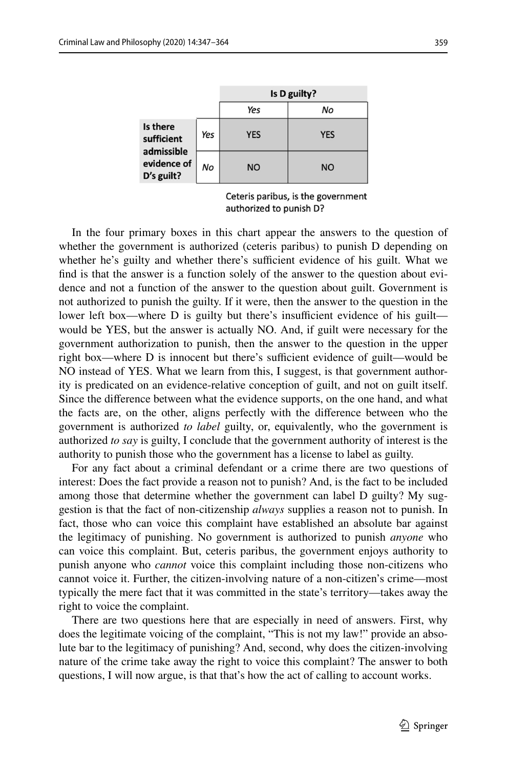|                                                                   |     | Is D guilty? |            |
|-------------------------------------------------------------------|-----|--------------|------------|
|                                                                   |     | Yes          | No         |
| Is there<br>sufficient<br>admissible<br>evidence of<br>D's guilt? | Yes | <b>YES</b>   | <b>YES</b> |
|                                                                   | No  | <b>NO</b>    | <b>NO</b>  |

Ceteris paribus, is the government authorized to punish D?

In the four primary boxes in this chart appear the answers to the question of whether the government is authorized (ceteris paribus) to punish D depending on whether he's guilty and whether there's sufficient evidence of his guilt. What we fnd is that the answer is a function solely of the answer to the question about evidence and not a function of the answer to the question about guilt. Government is not authorized to punish the guilty. If it were, then the answer to the question in the lower left box—where  $D$  is guilty but there's insufficient evidence of his guilt would be YES, but the answer is actually NO. And, if guilt were necessary for the government authorization to punish, then the answer to the question in the upper right box—where D is innocent but there's sufficient evidence of guilt—would be NO instead of YES. What we learn from this, I suggest, is that government authority is predicated on an evidence-relative conception of guilt, and not on guilt itself. Since the diference between what the evidence supports, on the one hand, and what the facts are, on the other, aligns perfectly with the diference between who the government is authorized *to label* guilty, or, equivalently, who the government is authorized *to say* is guilty, I conclude that the government authority of interest is the authority to punish those who the government has a license to label as guilty.

For any fact about a criminal defendant or a crime there are two questions of interest: Does the fact provide a reason not to punish? And, is the fact to be included among those that determine whether the government can label D guilty? My suggestion is that the fact of non-citizenship *always* supplies a reason not to punish. In fact, those who can voice this complaint have established an absolute bar against the legitimacy of punishing. No government is authorized to punish *anyone* who can voice this complaint. But, ceteris paribus, the government enjoys authority to punish anyone who *cannot* voice this complaint including those non-citizens who cannot voice it. Further, the citizen-involving nature of a non-citizen's crime—most typically the mere fact that it was committed in the state's territory—takes away the right to voice the complaint.

There are two questions here that are especially in need of answers. First, why does the legitimate voicing of the complaint, "This is not my law!" provide an absolute bar to the legitimacy of punishing? And, second, why does the citizen-involving nature of the crime take away the right to voice this complaint? The answer to both questions, I will now argue, is that that's how the act of calling to account works.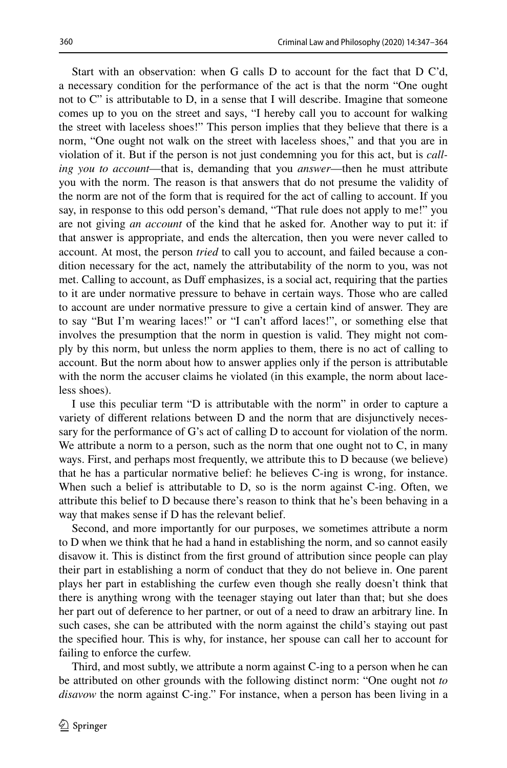Start with an observation: when G calls D to account for the fact that D C'd, a necessary condition for the performance of the act is that the norm "One ought not to C" is attributable to D, in a sense that I will describe. Imagine that someone comes up to you on the street and says, "I hereby call you to account for walking the street with laceless shoes!" This person implies that they believe that there is a norm, "One ought not walk on the street with laceless shoes," and that you are in violation of it. But if the person is not just condemning you for this act, but is *calling you to account*—that is, demanding that you *answer*—then he must attribute you with the norm. The reason is that answers that do not presume the validity of the norm are not of the form that is required for the act of calling to account. If you say, in response to this odd person's demand, "That rule does not apply to me!" you are not giving *an account* of the kind that he asked for. Another way to put it: if that answer is appropriate, and ends the altercation, then you were never called to account. At most, the person *tried* to call you to account, and failed because a condition necessary for the act, namely the attributability of the norm to you, was not met. Calling to account, as Duff emphasizes, is a social act, requiring that the parties to it are under normative pressure to behave in certain ways. Those who are called to account are under normative pressure to give a certain kind of answer. They are to say "But I'm wearing laces!" or "I can't afford laces!", or something else that involves the presumption that the norm in question is valid. They might not comply by this norm, but unless the norm applies to them, there is no act of calling to account. But the norm about how to answer applies only if the person is attributable with the norm the accuser claims he violated (in this example, the norm about laceless shoes).

I use this peculiar term "D is attributable with the norm" in order to capture a variety of diferent relations between D and the norm that are disjunctively necessary for the performance of G's act of calling D to account for violation of the norm. We attribute a norm to a person, such as the norm that one ought not to C, in many ways. First, and perhaps most frequently, we attribute this to D because (we believe) that he has a particular normative belief: he believes C-ing is wrong, for instance. When such a belief is attributable to D, so is the norm against C-ing. Often, we attribute this belief to D because there's reason to think that he's been behaving in a way that makes sense if D has the relevant belief.

Second, and more importantly for our purposes, we sometimes attribute a norm to D when we think that he had a hand in establishing the norm, and so cannot easily disavow it. This is distinct from the frst ground of attribution since people can play their part in establishing a norm of conduct that they do not believe in. One parent plays her part in establishing the curfew even though she really doesn't think that there is anything wrong with the teenager staying out later than that; but she does her part out of deference to her partner, or out of a need to draw an arbitrary line. In such cases, she can be attributed with the norm against the child's staying out past the specifed hour. This is why, for instance, her spouse can call her to account for failing to enforce the curfew.

Third, and most subtly, we attribute a norm against C-ing to a person when he can be attributed on other grounds with the following distinct norm: "One ought not *to disavow* the norm against C-ing." For instance, when a person has been living in a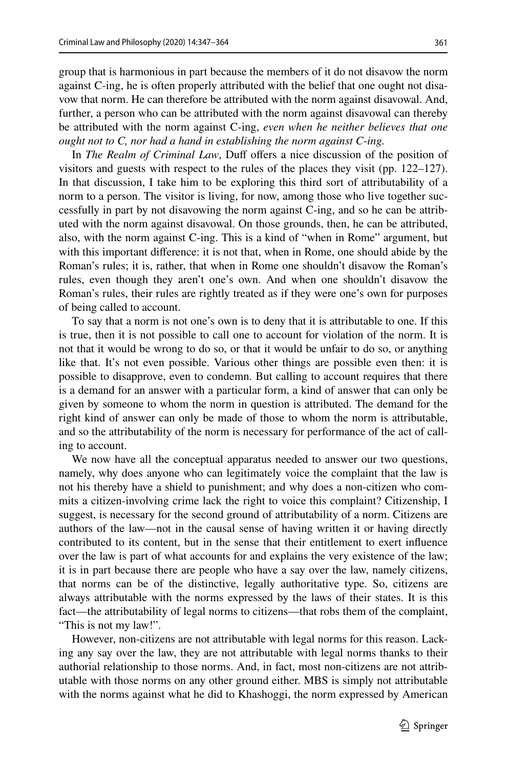361

group that is harmonious in part because the members of it do not disavow the norm against C-ing, he is often properly attributed with the belief that one ought not disavow that norm. He can therefore be attributed with the norm against disavowal. And, further, a person who can be attributed with the norm against disavowal can thereby be attributed with the norm against C-ing, *even when he neither believes that one ought not to C, nor had a hand in establishing the norm against C*-*ing.*

In *The Realm of Criminal Law*, Duf ofers a nice discussion of the position of visitors and guests with respect to the rules of the places they visit (pp. 122–127). In that discussion, I take him to be exploring this third sort of attributability of a norm to a person. The visitor is living, for now, among those who live together successfully in part by not disavowing the norm against C-ing, and so he can be attributed with the norm against disavowal. On those grounds, then, he can be attributed, also, with the norm against C-ing. This is a kind of "when in Rome" argument, but with this important diference: it is not that, when in Rome, one should abide by the Roman's rules; it is, rather, that when in Rome one shouldn't disavow the Roman's rules, even though they aren't one's own. And when one shouldn't disavow the Roman's rules, their rules are rightly treated as if they were one's own for purposes of being called to account.

To say that a norm is not one's own is to deny that it is attributable to one. If this is true, then it is not possible to call one to account for violation of the norm. It is not that it would be wrong to do so, or that it would be unfair to do so, or anything like that. It's not even possible. Various other things are possible even then: it is possible to disapprove, even to condemn. But calling to account requires that there is a demand for an answer with a particular form, a kind of answer that can only be given by someone to whom the norm in question is attributed. The demand for the right kind of answer can only be made of those to whom the norm is attributable, and so the attributability of the norm is necessary for performance of the act of calling to account.

We now have all the conceptual apparatus needed to answer our two questions, namely, why does anyone who can legitimately voice the complaint that the law is not his thereby have a shield to punishment; and why does a non-citizen who commits a citizen-involving crime lack the right to voice this complaint? Citizenship, I suggest, is necessary for the second ground of attributability of a norm. Citizens are authors of the law—not in the causal sense of having written it or having directly contributed to its content, but in the sense that their entitlement to exert infuence over the law is part of what accounts for and explains the very existence of the law; it is in part because there are people who have a say over the law, namely citizens, that norms can be of the distinctive, legally authoritative type. So, citizens are always attributable with the norms expressed by the laws of their states. It is this fact—the attributability of legal norms to citizens—that robs them of the complaint, "This is not my law!".

However, non-citizens are not attributable with legal norms for this reason. Lacking any say over the law, they are not attributable with legal norms thanks to their authorial relationship to those norms. And, in fact, most non-citizens are not attributable with those norms on any other ground either. MBS is simply not attributable with the norms against what he did to Khashoggi, the norm expressed by American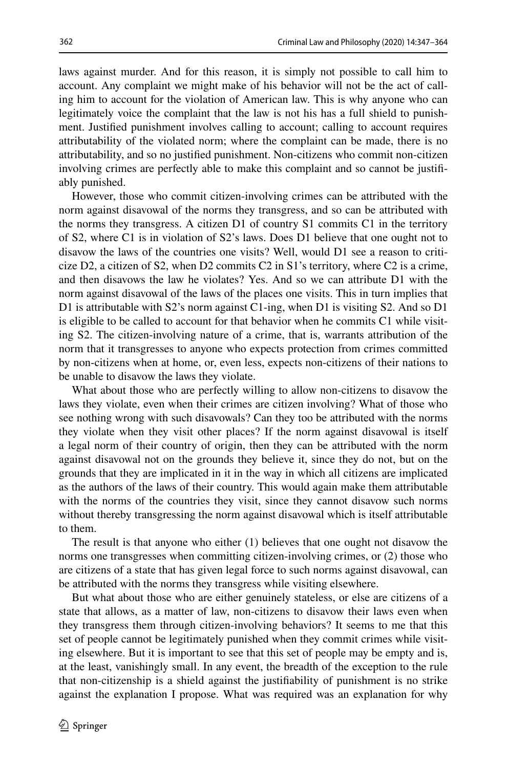laws against murder. And for this reason, it is simply not possible to call him to account. Any complaint we might make of his behavior will not be the act of calling him to account for the violation of American law. This is why anyone who can legitimately voice the complaint that the law is not his has a full shield to punishment. Justifed punishment involves calling to account; calling to account requires attributability of the violated norm; where the complaint can be made, there is no attributability, and so no justifed punishment. Non-citizens who commit non-citizen involving crimes are perfectly able to make this complaint and so cannot be justifably punished.

However, those who commit citizen-involving crimes can be attributed with the norm against disavowal of the norms they transgress, and so can be attributed with the norms they transgress. A citizen D1 of country S1 commits C1 in the territory of S2, where C1 is in violation of S2's laws. Does D1 believe that one ought not to disavow the laws of the countries one visits? Well, would D1 see a reason to criticize D2, a citizen of S2, when D2 commits C2 in S1's territory, where C2 is a crime, and then disavows the law he violates? Yes. And so we can attribute D1 with the norm against disavowal of the laws of the places one visits. This in turn implies that D1 is attributable with S2's norm against C1-ing, when D1 is visiting S2. And so D1 is eligible to be called to account for that behavior when he commits C1 while visiting S2. The citizen-involving nature of a crime, that is, warrants attribution of the norm that it transgresses to anyone who expects protection from crimes committed by non-citizens when at home, or, even less, expects non-citizens of their nations to be unable to disavow the laws they violate.

What about those who are perfectly willing to allow non-citizens to disavow the laws they violate, even when their crimes are citizen involving? What of those who see nothing wrong with such disavowals? Can they too be attributed with the norms they violate when they visit other places? If the norm against disavowal is itself a legal norm of their country of origin, then they can be attributed with the norm against disavowal not on the grounds they believe it, since they do not, but on the grounds that they are implicated in it in the way in which all citizens are implicated as the authors of the laws of their country. This would again make them attributable with the norms of the countries they visit, since they cannot disavow such norms without thereby transgressing the norm against disavowal which is itself attributable to them.

The result is that anyone who either (1) believes that one ought not disavow the norms one transgresses when committing citizen-involving crimes, or (2) those who are citizens of a state that has given legal force to such norms against disavowal, can be attributed with the norms they transgress while visiting elsewhere.

But what about those who are either genuinely stateless, or else are citizens of a state that allows, as a matter of law, non-citizens to disavow their laws even when they transgress them through citizen-involving behaviors? It seems to me that this set of people cannot be legitimately punished when they commit crimes while visiting elsewhere. But it is important to see that this set of people may be empty and is, at the least, vanishingly small. In any event, the breadth of the exception to the rule that non-citizenship is a shield against the justifability of punishment is no strike against the explanation I propose. What was required was an explanation for why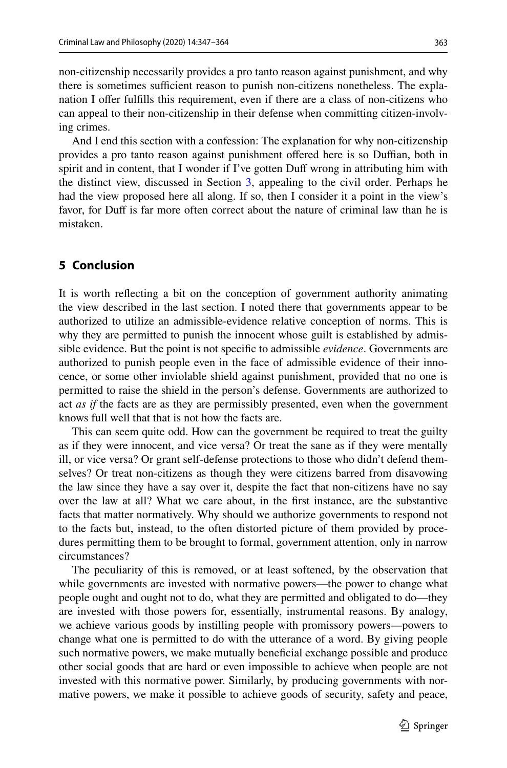non-citizenship necessarily provides a pro tanto reason against punishment, and why there is sometimes sufficient reason to punish non-citizens nonetheless. The explanation I offer fulfills this requirement, even if there are a class of non-citizens who can appeal to their non-citizenship in their defense when committing citizen-involving crimes.

And I end this section with a confession: The explanation for why non-citizenship provides a pro tanto reason against punishment offered here is so Duffian, both in spirit and in content, that I wonder if I've gotten Duff wrong in attributing him with the distinct view, discussed in Section [3](#page-7-0), appealing to the civil order. Perhaps he had the view proposed here all along. If so, then I consider it a point in the view's favor, for Duff is far more often correct about the nature of criminal law than he is mistaken.

#### **5 Conclusion**

It is worth refecting a bit on the conception of government authority animating the view described in the last section. I noted there that governments appear to be authorized to utilize an admissible-evidence relative conception of norms. This is why they are permitted to punish the innocent whose guilt is established by admissible evidence. But the point is not specifc to admissible *evidence*. Governments are authorized to punish people even in the face of admissible evidence of their innocence, or some other inviolable shield against punishment, provided that no one is permitted to raise the shield in the person's defense. Governments are authorized to act *as if* the facts are as they are permissibly presented, even when the government knows full well that that is not how the facts are.

This can seem quite odd. How can the government be required to treat the guilty as if they were innocent, and vice versa? Or treat the sane as if they were mentally ill, or vice versa? Or grant self-defense protections to those who didn't defend themselves? Or treat non-citizens as though they were citizens barred from disavowing the law since they have a say over it, despite the fact that non-citizens have no say over the law at all? What we care about, in the frst instance, are the substantive facts that matter normatively. Why should we authorize governments to respond not to the facts but, instead, to the often distorted picture of them provided by procedures permitting them to be brought to formal, government attention, only in narrow circumstances?

The peculiarity of this is removed, or at least softened, by the observation that while governments are invested with normative powers—the power to change what people ought and ought not to do, what they are permitted and obligated to do—they are invested with those powers for, essentially, instrumental reasons. By analogy, we achieve various goods by instilling people with promissory powers—powers to change what one is permitted to do with the utterance of a word. By giving people such normative powers, we make mutually benefcial exchange possible and produce other social goods that are hard or even impossible to achieve when people are not invested with this normative power. Similarly, by producing governments with normative powers, we make it possible to achieve goods of security, safety and peace,